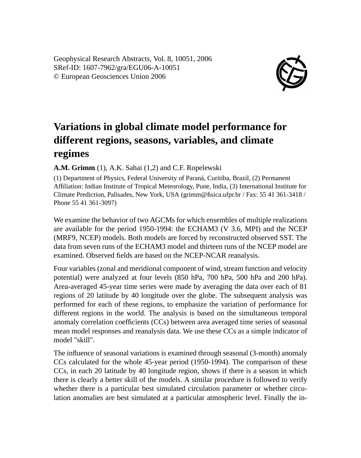Geophysical Research Abstracts, Vol. 8, 10051, 2006 SRef-ID: 1607-7962/gra/EGU06-A-10051 © European Geosciences Union 2006



## **Variations in global climate model performance for different regions, seasons, variables, and climate regimes**

**A.M. Grimm** (1), A.K. Sahai (1,2) and C.F. Ropelewski

(1) Department of Physics, Federal University of Paraná, Curitiba, Brazil, (2) Permanent Affiliation: Indian Institute of Tropical Meteorology, Pune, India, (3) International Institute for Climate Prediction, Palisades, New York, USA (grimm@fisica.ufpr.br / Fax: 55 41 361-3418 / Phone 55 41 361-3097)

We examine the behavior of two AGCMs for which ensembles of multiple realizations are available for the period 1950-1994: the ECHAM3 (V 3.6, MPI) and the NCEP (MRF9, NCEP) models. Both models are forced by reconstructed observed SST. The data from seven runs of the ECHAM3 model and thirteen runs of the NCEP model are examined. Observed fields are based on the NCEP-NCAR reanalysis.

Four variables (zonal and meridional component of wind, stream function and velocity potential) were analyzed at four levels (850 hPa, 700 hPa, 500 hPa and 200 hPa). Area-averaged 45-year time series were made by averaging the data over each of 81 regions of 20 latitude by 40 longitude over the globe. The subsequent analysis was performed for each of these regions, to emphasize the variation of performance for different regions in the world. The analysis is based on the simultaneous temporal anomaly correlation coefficients (CCs) between area averaged time series of seasonal mean model responses and reanalysis data. We use these CCs as a simple indicator of model "skill".

The influence of seasonal variations is examined through seasonal (3-month) anomaly CCs calculated for the whole 45-year period (1950-1994). The comparison of these CCs, in each 20 latitude by 40 longitude region, shows if there is a season in which there is clearly a better skill of the models. A similar procedure is followed to verify whether there is a particular best simulated circulation parameter or whether circulation anomalies are best simulated at a particular atmospheric level. Finally the in